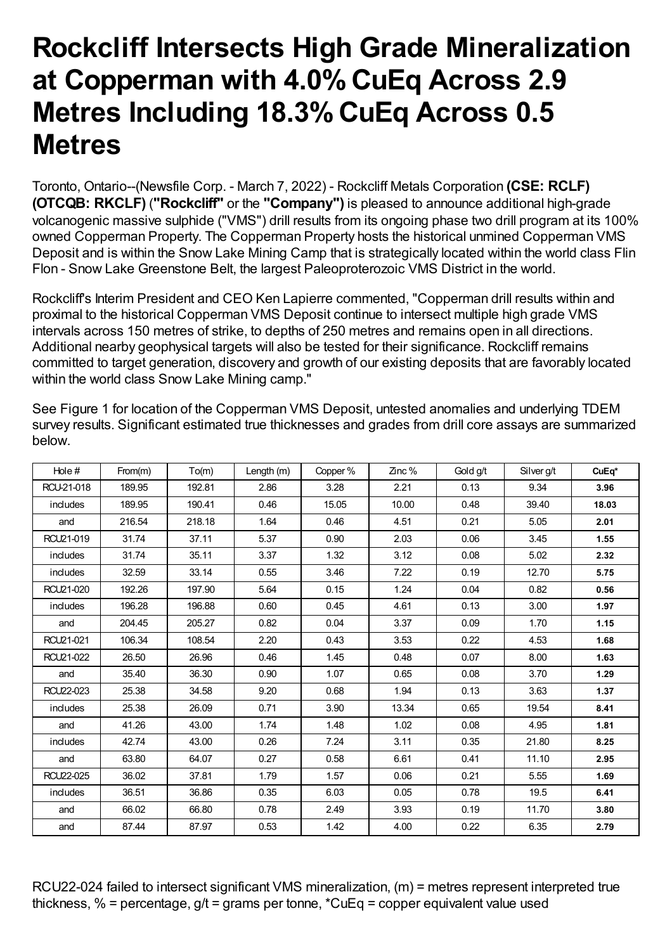## **Rockcliff Intersects High Grade Mineralization at Copperman with 4.0%CuEq Across 2.9 Metres Including 18.3%CuEq Across 0.5 Metres**

Toronto, Ontario--(Newsfile Corp. - March 7, 2022) - Rockcliff Metals Corporation **(CSE: RCLF) (OTCQB: RKCLF)** (**"Rockcliff"** or the **"Company")** is pleased to announce additional high-grade volcanogenic massive sulphide ("VMS") drill results from its ongoing phase two drill program at its 100% owned Copperman Property. The Copperman Property hosts the historical unmined Copperman VMS Deposit and is within the Snow Lake Mining Camp that is strategically located within the world class Flin Flon - Snow Lake Greenstone Belt, the largest Paleoproterozoic VMS District in the world.

Rockcliff's Interim President and CEO Ken Lapierre commented, "Copperman drill results within and proximal to the historical Copperman VMS Deposit continue to intersect multiple high grade VMS intervals across 150 metres of strike, to depths of 250 metres and remains open in all directions. Additional nearby geophysical targets will also be tested for their significance. Rockcliff remains committed to target generation, discovery and growth of our existing deposits that are favorably located within the world class Snow Lake Mining camp."

| Hole#      | From(m) | To(m)  | Length (m) | Copper % | $\mathsf{Zinc}\,\%$ | Gold g/t | Silver g/t | CuEq* |
|------------|---------|--------|------------|----------|---------------------|----------|------------|-------|
| RCU-21-018 | 189.95  | 192.81 | 2.86       | 3.28     | 2.21                | 0.13     | 9.34       | 3.96  |
| indudes    | 189.95  | 190.41 | 0.46       | 15.05    | 10.00               | 0.48     | 39.40      | 18.03 |
| and        | 216.54  | 218.18 | 1.64       | 0.46     | 4.51                | 0.21     | 5.05       | 2.01  |
| RCU21-019  | 31.74   | 37.11  | 5.37       | 0.90     | 2.03                | 0.06     | 3.45       | 1.55  |
| includes   | 31.74   | 35.11  | 3.37       | 1.32     | 3.12                | 0.08     | 5.02       | 2.32  |
| includes   | 32.59   | 33.14  | 0.55       | 3.46     | 7.22                | 0.19     | 12.70      | 5.75  |
| RCU21-020  | 192.26  | 197.90 | 5.64       | 0.15     | 1.24                | 0.04     | 0.82       | 0.56  |
| includes   | 196.28  | 196.88 | 0.60       | 0.45     | 4.61                | 0.13     | 3.00       | 1.97  |
| and        | 204.45  | 205.27 | 0.82       | 0.04     | 3.37                | 0.09     | 1.70       | 1.15  |
| RCU21-021  | 106.34  | 108.54 | 2.20       | 0.43     | 3.53                | 0.22     | 4.53       | 1.68  |
| RCU21-022  | 26.50   | 26.96  | 0.46       | 1.45     | 0.48                | 0.07     | 8.00       | 1.63  |
| and        | 35.40   | 36.30  | 0.90       | 1.07     | 0.65                | 0.08     | 3.70       | 1.29  |
| RCU22-023  | 25.38   | 34.58  | 9.20       | 0.68     | 1.94                | 0.13     | 3.63       | 1.37  |
| includes   | 25.38   | 26.09  | 0.71       | 3.90     | 13.34               | 0.65     | 19.54      | 8.41  |
| and        | 41.26   | 43.00  | 1.74       | 1.48     | 1.02                | 0.08     | 4.95       | 1.81  |
| includes   | 42.74   | 43.00  | 0.26       | 7.24     | 3.11                | 0.35     | 21.80      | 8.25  |
| and        | 63.80   | 64.07  | 0.27       | 0.58     | 6.61                | 0.41     | 11.10      | 2.95  |
| RCU22-025  | 36.02   | 37.81  | 1.79       | 1.57     | 0.06                | 0.21     | 5.55       | 1.69  |
| includes   | 36.51   | 36.86  | 0.35       | 6.03     | 0.05                | 0.78     | 19.5       | 6.41  |
| and        | 66.02   | 66.80  | 0.78       | 2.49     | 3.93                | 0.19     | 11.70      | 3.80  |
| and        | 87.44   | 87.97  | 0.53       | 1.42     | 4.00                | 0.22     | 6.35       | 2.79  |

See Figure 1 for location of the Copperman VMS Deposit, untested anomalies and underlying TDEM survey results. Significant estimated true thicknesses and grades from drill core assays are summarized below.

RCU22-024 failed to intersect significant VMS mineralization, (m) = metres represent interpreted true thickness,  $\%$  = percentage,  $q/t$  = grams per tonne,  $^{\star}$ CuEg = copper equivalent value used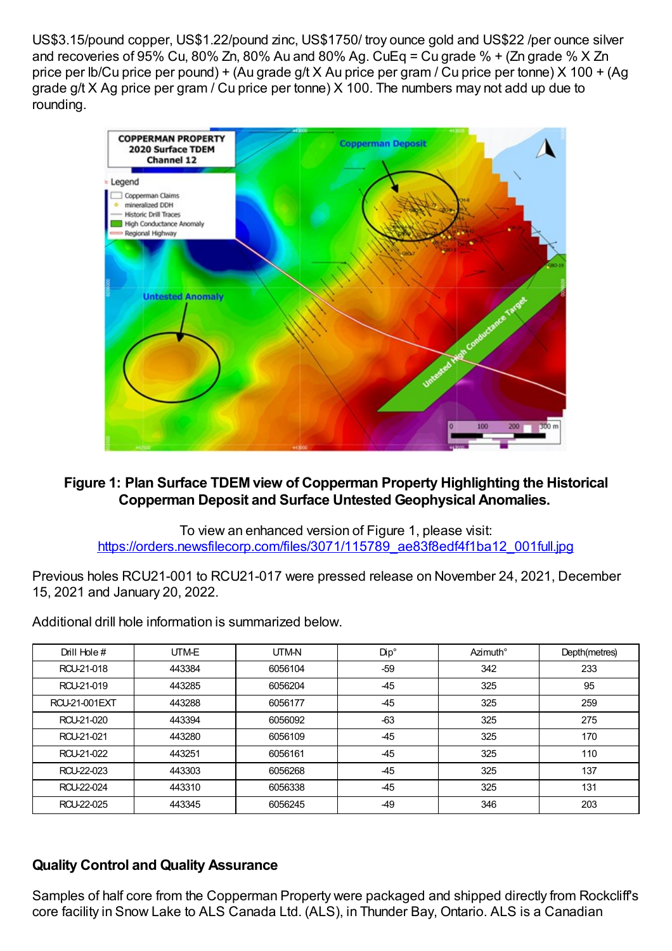US\$3.15/pound copper, US\$1.22/pound zinc, US\$1750/ troy ounce gold and US\$22 /per ounce silver and recoveries of 95% Cu, 80% Zn, 80% Au and 80% Ag. CuEq = Cu grade % + (Zn grade %  $\times$  Zn price per lb/Cu price per pound) + (Au grade g/t X Au price per gram / Cu price per tonne) X 100 + (Ag grade g/t X Ag price per gram / Cu price per tonne) X 100. The numbers may not add up due to rounding.



## **Figure 1: Plan Surface TDEM view of Copperman Property Highlighting the Historical Copperman Deposit and Surface Untested Geophysical Anomalies.**

To view an enhanced version of Figure 1, please visit: [https://orders.newsfilecorp.com/files/3071/115789\\_ae83f8edf4f1ba12\\_001full.jpg](https://orders.newsfilecorp.com/files/3071/115789_ae83f8edf4f1ba12_001full.jpg)

Previous holes RCU21-001 to RCU21-017 were pressed release on November 24, 2021, December 15, 2021 and January 20, 2022.

Additional drill hole information is summarized below.

| Drill Hole #         | UTM-E  | UTM-N   | Dip°  | Azimuth° | Depth(metres) |
|----------------------|--------|---------|-------|----------|---------------|
| RCU-21-018           | 443384 | 6056104 | -59   | 342      | 233           |
| RCU-21-019           | 443285 | 6056204 | $-45$ | 325      | 95            |
| <b>RCU-21-001EXT</b> | 443288 | 6056177 | $-45$ | 325      | 259           |
| RCU-21-020           | 443394 | 6056092 | $-63$ | 325      | 275           |
| RCU-21-021           | 443280 | 6056109 | $-45$ | 325      | 170           |
| RCU 21-022           | 443251 | 6056161 | $-45$ | 325      | 110           |
| RCU-22-023           | 443303 | 6056268 | $-45$ | 325      | 137           |
| RCU-22-024           | 443310 | 6056338 | $-45$ | 325      | 131           |
| RCU 22-025           | 443345 | 6056245 | -49   | 346      | 203           |

## **Quality Control and Quality Assurance**

Samples of half core from the Copperman Property were packaged and shipped directly from Rockcliff's core facility in Snow Lake to ALS Canada Ltd. (ALS), in Thunder Bay, Ontario. ALS is a Canadian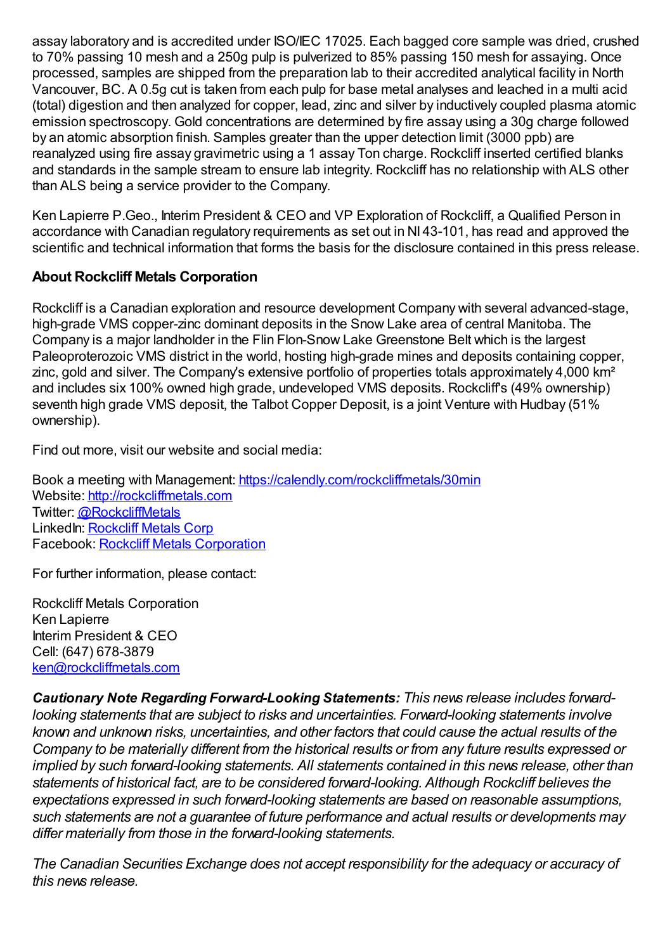assay laboratory and is accredited under ISO/IEC 17025. Each bagged core sample was dried, crushed to 70% passing 10 mesh and a 250g pulp is pulverized to 85% passing 150 mesh for assaying. Once processed, samples are shipped from the preparation lab to their accredited analytical facility in North Vancouver, BC. A 0.5g cut is taken from each pulp for base metal analyses and leached in a multi acid (total) digestion and then analyzed for copper, lead, zinc and silver by inductively coupled plasma atomic emission spectroscopy. Gold concentrations are determined by fire assay using a 30g charge followed by an atomic absorption finish. Samples greater than the upper detection limit (3000 ppb) are reanalyzed using fire assay gravimetric using a 1 assay Ton charge. Rockcliff inserted certified blanks and standards in the sample stream to ensure lab integrity. Rockcliff has no relationship with ALS other than ALS being a service provider to the Company.

Ken Lapierre P.Geo., Interim President & CEO and VP Exploration of Rockcliff, a Qualified Person in accordance with Canadian regulatory requirements as set out in NI 43-101, has read and approved the scientific and technical information that forms the basis for the disclosure contained in this press release.

## **About Rockcliff Metals Corporation**

Rockcliff is a Canadian exploration and resource development Company with several advanced-stage, high-grade VMS copper-zinc dominant deposits in the Snow Lake area of central Manitoba. The Company is a major landholder in the Flin Flon-Snow Lake Greenstone Belt which is the largest Paleoproterozoic VMS district in the world, hosting high-grade mines and deposits containing copper, zinc, gold and silver. The Company's extensive portfolio of properties totals approximately 4,000 km² and includes six 100% owned high grade, undeveloped VMS deposits. Rockcliff's (49% ownership) seventh high grade VMS deposit, the Talbot Copper Deposit, is a joint Venture with Hudbay (51% ownership).

Find out more, visit our website and social media:

Book a meeting with Management: [https://calendly.com/rockcliffmetals/30min](https://www.newsfilecorp.com/redirect/w24rbiwnWA) Website: [http://rockcliffmetals.com](https://www.newsfilecorp.com/redirect/gxYbWiGaoV) Twitter: [@RockcliffMetals](https://www.newsfilecorp.com/redirect/p4YZbFAyWO) LinkedIn: [Rockcliff](https://www.newsfilecorp.com/redirect/Yz3ZWi58rb) Metals Corp Facebook: Rockcliff Metals [Corporation](https://www.newsfilecorp.com/redirect/0K3DaIB2N0)

For further information, please contact:

Rockcliff Metals Corporation Ken Lapierre Interim President & CEO Cell: (647) 678-3879 [ken@rockcliffmetals.com](mailto:ken@rockcliffmetals.com)

*Cautionary Note Regarding Forward-Looking Statements: This news release includes forwardlooking statements that are subject to risks and uncertainties. Forward-looking statements involve known and unknown risks, uncertainties, and other factors that could cause the actual results of the Company to be materially different from the historical results or from any future results expressed or implied by such forward-looking statements. All statements contained in this news release, other than statements of historical fact, are to be considered forward-looking. Although Rockcliff believes the expectations expressed in such forward-looking statements are based on reasonable assumptions, such statements are not a guarantee of future performance and actual results or developments may differ materially from those in the forward-looking statements.*

*The Canadian Securities Exchange does not accept responsibility for the adequacy or accuracy of this news release.*